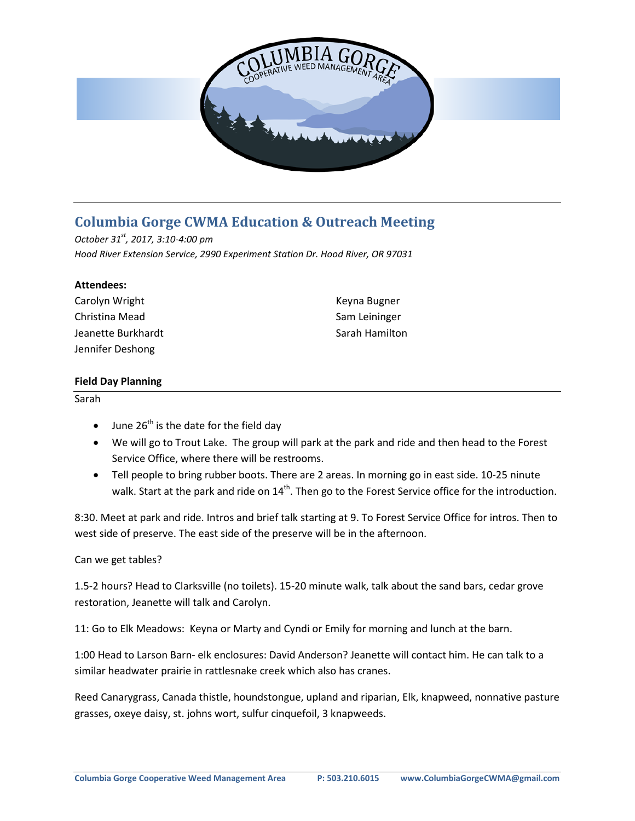

# **Columbia Gorge CWMA Education & Outreach Meeting**

*October 31st , 2017, 3:10-4:00 pm Hood River Extension Service, 2990 Experiment Station Dr. Hood River, OR 97031*

#### **Attendees:**

| Carolyn Wright     | Keyna Bugner   |
|--------------------|----------------|
| Christina Mead     | Sam Leininger  |
| Jeanette Burkhardt | Sarah Hamilton |
| Jennifer Deshong   |                |

### **Field Day Planning**

Sarah

- June  $26<sup>th</sup>$  is the date for the field day
- We will go to Trout Lake. The group will park at the park and ride and then head to the Forest Service Office, where there will be restrooms.
- Tell people to bring rubber boots. There are 2 areas. In morning go in east side. 10-25 ninute walk. Start at the park and ride on 14<sup>th</sup>. Then go to the Forest Service office for the introduction.

8:30. Meet at park and ride. Intros and brief talk starting at 9. To Forest Service Office for intros. Then to west side of preserve. The east side of the preserve will be in the afternoon.

## Can we get tables?

1.5-2 hours? Head to Clarksville (no toilets). 15-20 minute walk, talk about the sand bars, cedar grove restoration, Jeanette will talk and Carolyn.

11: Go to Elk Meadows: Keyna or Marty and Cyndi or Emily for morning and lunch at the barn.

1:00 Head to Larson Barn- elk enclosures: David Anderson? Jeanette will contact him. He can talk to a similar headwater prairie in rattlesnake creek which also has cranes.

Reed Canarygrass, Canada thistle, houndstongue, upland and riparian, Elk, knapweed, nonnative pasture grasses, oxeye daisy, st. johns wort, sulfur cinquefoil, 3 knapweeds.